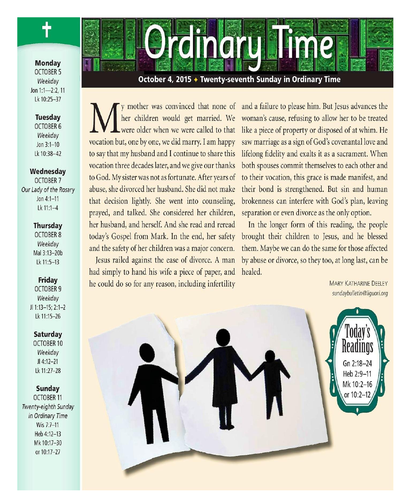**Monday OCTOBER 5** Weekday Jon 1:1-2:2, 11 Lk 10:25-37

### **Tuesday OCTOBER 6** Weekday Jon  $3:1-10$ Lk 10:38-42

#### Wednesday

**OCTOBER 7** Our Lady of the Rosary Jon  $4:1 - 11$ Lk 11:1-4

### **Thursday**

**OCTOBER 8** Weekdav Mal 3:13-20b Lk 11:5-13

### Friday

**OCTOBER 9** Weekday JI 1:13-15; 2:1-2 Lk 11:15-26

### Saturday

OCTOBER 10 Weekdav  $JI 4:12-21$ Lk 11:27-28

### **Sunday**

**OCTOBER 11** Twenty-eighth Sunday in Ordinary Time Wis 7:7-11 Heb 4:12-13 Mk 10:17-30 or 10:17-27

October 4, 2015 + Twenty-seventh Sunday in Ordinary Time

**olinomus mae** 

her children would get married. We were older when we were called to that vocation but, one by one, we did marry. I am happy to say that my husband and I continue to share this vocation three decades later, and we give our thanks to God. My sister was not as fortunate. After years of abuse, she divorced her husband. She did not make that decision lightly. She went into counseling, prayed, and talked. She considered her children, her husband, and herself. And she read and reread today's Gospel from Mark. In the end, her safety and the safety of her children was a major concern. Jesus railed against the ease of divorce. A man had simply to hand his wife a piece of paper, and he could do so for any reason, including infertility

y mother was convinced that none of and a failure to please him. But Jesus advances the woman's cause, refusing to allow her to be treated like a piece of property or disposed of at whim. He saw marriage as a sign of God's covenantal love and lifelong fidelity and exalts it as a sacrament. When both spouses commit themselves to each other and to their vocation, this grace is made manifest, and their bond is strengthened. But sin and human brokenness can interfere with God's plan, leaving separation or even divorce as the only option.

> In the longer form of this reading, the people brought their children to Jesus, and he blessed them. Maybe we can do the same for those affected by abuse or divorce, so they too, at long last, can be healed.

> > **MARY KATHARINE DEELEY** sundaybulletin@liquori.org

> > > Gn 2:18-24

Heb 2:9-11 Mk 10:2-16

or 10:2–12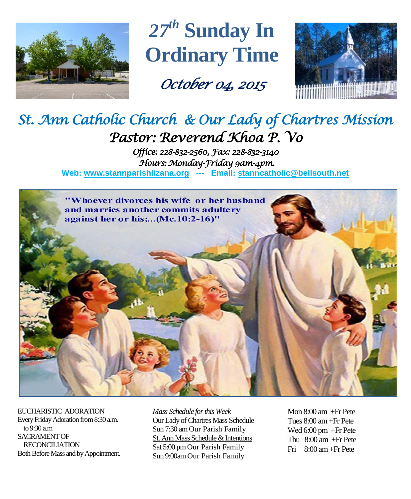

*27 th* **Sunday In Ordinary Time**

*October 04, 2015* 



# *St. Ann Catholic Church & Our Lady of Chartres Mission Pastor: Reverend Khoa P. Vo*

*Office: 228-832-2560, Fax: 228-832-3140 Hours: Monday-Friday 9am-4pm.*  **Web: www.stannparishlizana.org --- Email: [stanncatholic@bellsouth.net](mailto:stanncatholic@bellsouth.net)**



EUCHARISTIC ADORATION Every Friday Adoration from 8:30 a.m. to 9:30 a.m SACRAMENT OF RECONCILIATION Both Before Mass and by Appointment. *Mass Schedule for this Week*  Our Lady of Chartres Mass Schedule Sun 7:30 am Our Parish Family St. Ann Mass Schedule & Intentions Sat 5:00 pm Our Parish Family Sun 9:00am Our Parish Family

Mon 8:00 am +Fr Pete Tues 8:00 am +Fr Pete Wed 6:00 pm +Fr Pete Thu 8:00 am +Fr Pete Fri 8:00 am+Fr Pete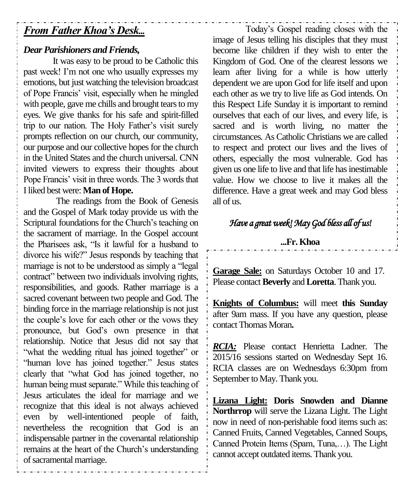# *From Father Khoa's Desk...*

# *Dear Parishioners and Friends,*

It was easy to be proud to be Catholic this past week! I'm not one who usually expresses my emotions, but just watching the television broadcast of Pope Francis' visit, especially when he mingled with people, gave me chills and brought tears to my eyes. We give thanks for his safe and spirit-filled trip to our nation. The Holy Father's visit surely prompts reflection on our church, our community, our purpose and our collective hopes for the church in the United States and the church universal. CNN invited viewers to express their thoughts about Pope Francis' visit in three words. The 3 words that I liked best were: **Man of Hope.**

The readings from the Book of Genesis and the Gospel of Mark today provide us with the Scriptural foundations for the Church's teaching on the sacrament of marriage. In the Gospel account the Pharisees ask, "Is it lawful for a husband to divorce his wife?" Jesus responds by teaching that marriage is not to be understood as simply a "legal contract" between two individuals involving rights, responsibilities, and goods. Rather marriage is a sacred covenant between two people and God. The binding force in the marriage relationship is not just the couple's love for each other or the vows they pronounce, but God's own presence in that relationship. Notice that Jesus did not say that "what the wedding ritual has joined together" or "human love has joined together." Jesus states clearly that "what God has joined together, no human being must separate." While this teaching of Jesus articulates the ideal for marriage and we recognize that this ideal is not always achieved even by well-intentioned people of faith, nevertheless the recognition that God is an indispensable partner in the covenantal relationship remains at the heart of the Church's understanding of sacramental marriage.

Today's Gospel reading closes with the image of Jesus telling his disciples that they must become like children if they wish to enter the Kingdom of God. One of the clearest lessons we learn after living for a while is how utterly dependent we are upon God for life itself and upon each other as we try to live life as God intends. On this Respect Life Sunday it is important to remind ourselves that each of our lives, and every life, is sacred and is worth living, no matter the circumstances. As Catholic Christians we are called to respect and protect our lives and the lives of others, especially the most vulnerable. God has given us one life to live and that life has inestimable value. How we choose to live it makes all the difference. Have a great week and may God bless all of us.

# *Have a great week! May God bless all of us!*

# **...Fr. Khoa**

**Garage Sale:** on Saturdays October 10 and 17. Please contact **Beverly** and **Loretta**. Thank you.

**Knights of Columbus:** will meet **this Sunday** after 9am mass. If you have any question, please contact Thomas Moran**.**

*RCIA:* Please contact Henrietta Ladner. The 2015/16 sessions started on Wednesday Sept 16. RCIA classes are on Wednesdays 6:30pm from September to May. Thank you.

**Lizana Light: Doris Snowden and Dianne Northrrop** will serve the Lizana Light. The Light now in need of non-perishable food items such as: Canned Fruits, Canned Vegetables, Canned Soups, Canned Protein Items (Spam, Tuna,…). The Light cannot accept outdated items. Thank you.